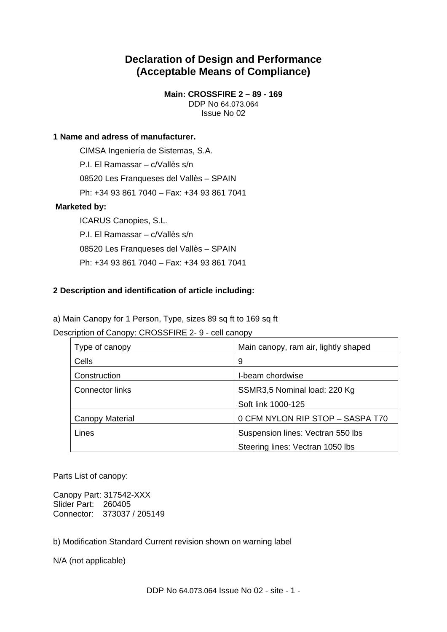# **Declaration of Design and Performance (Acceptable Means of Compliance)**

**Main: CROSSFIRE 2 – 89 - 169**  DDP No 64.073.064 Issue No 02

# **1 Name and adress of manufacturer.**

 CIMSA Ingeniería de Sistemas, S.A. P.I. El Ramassar – c/Vallès s/n 08520 Les Franqueses del Vallès – SPAIN Ph: +34 93 861 7040 – Fax: +34 93 861 7041

# **Marketed by:**

ICARUS Canopies, S.L. P.I. El Ramassar – c/Vallès s/n 08520 Les Franqueses del Vallès – SPAIN Ph: +34 93 861 7040 – Fax: +34 93 861 7041

# **2 Description and identification of article including:**

a) Main Canopy for 1 Person, Type, sizes 89 sq ft to 169 sq ft

Description of Canopy: CROSSFIRE 2- 9 - cell canopy

| Type of canopy  | Main canopy, ram air, lightly shaped |
|-----------------|--------------------------------------|
| Cells           | 9                                    |
| Construction    | I-beam chordwise                     |
| Connector links | SSMR3,5 Nominal load: 220 Kg         |
|                 | Soft link 1000-125                   |
| Canopy Material | 0 CFM NYLON RIP STOP - SASPA T70     |
| Lines           | Suspension lines: Vectran 550 lbs    |
|                 | Steering lines: Vectran 1050 lbs     |

Parts List of canopy:

Canopy Part: 317542-XXX Slider Part: 260405 Connector: 373037 / 205149

b) Modification Standard Current revision shown on warning label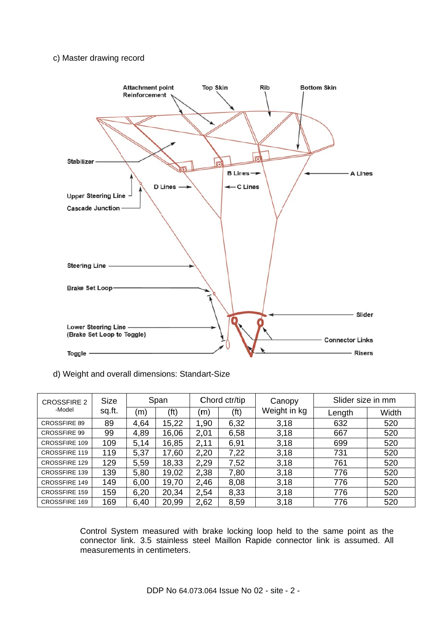#### c) Master drawing record



# d) Weight and overall dimensions: Standart-Size

| <b>CROSSFIRE 2</b>   | <b>Size</b> | Span |       | Chord ctr/tip |      | Canopy       | Slider size in mm |       |
|----------------------|-------------|------|-------|---------------|------|--------------|-------------------|-------|
| -Model               | sq.ft.      | (m)  | (ft)  | (m)           | (ft) | Weight in kg | Length            | Width |
| <b>CROSSFIRE 89</b>  | 89          | 4,64 | 15,22 | 1,90          | 6,32 | 3.18         | 632               | 520   |
| <b>CROSSFIRE 99</b>  | 99          | 4,89 | 16,06 | 2,01          | 6,58 | 3.18         | 667               | 520   |
| CROSSFIRE 109        | 109         | 5,14 | 16,85 | 2,11          | 6,91 | 3.18         | 699               | 520   |
| <b>CROSSFIRE 119</b> | 119         | 5,37 | 17,60 | 2,20          | 7,22 | 3.18         | 731               | 520   |
| CROSSFIRE 129        | 129         | 5,59 | 18,33 | 2,29          | 7,52 | 3.18         | 761               | 520   |
| <b>CROSSFIRE 139</b> | 139         | 5,80 | 19,02 | 2,38          | 7,80 | 3.18         | 776               | 520   |
| <b>CROSSFIRE 149</b> | 149         | 6,00 | 19,70 | 2,46          | 8,08 | 3.18         | 776               | 520   |
| <b>CROSSFIRE 159</b> | 159         | 6,20 | 20,34 | 2,54          | 8,33 | 3.18         | 776               | 520   |
| <b>CROSSFIRE 169</b> | 169         | 6,40 | 20,99 | 2,62          | 8,59 | 3.18         | 776               | 520   |

Control System measured with brake locking loop held to the same point as the connector link. 3.5 stainless steel Maillon Rapide connector link is assumed. All measurements in centimeters.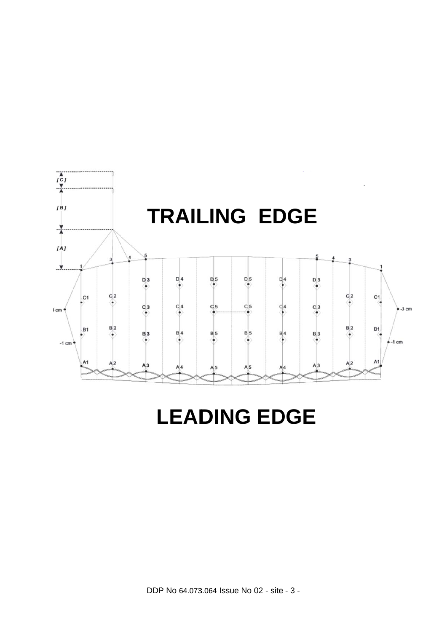

# LEADING EDGE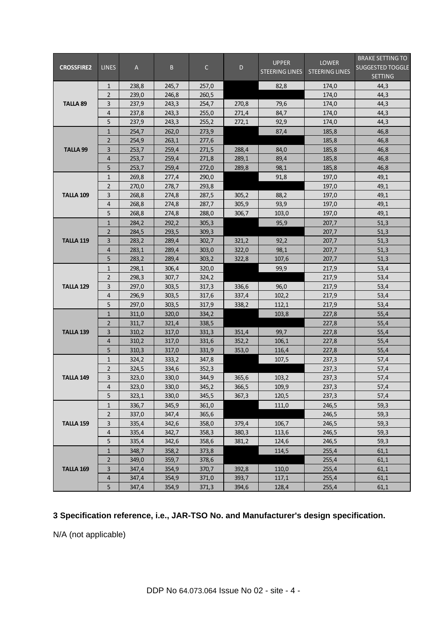|                   |                |       |       |              |       | <b>UPPER</b>          | <b>LOWER</b>          | <b>BRAKE SETTING TO</b> |
|-------------------|----------------|-------|-------|--------------|-------|-----------------------|-----------------------|-------------------------|
| <b>CROSSFIRE2</b> | <b>LINES</b>   | A     | B.    | $\mathsf{C}$ | D     | <b>STEERING LINES</b> | <b>STEERING LINES</b> | <b>SUGGESTED TOGGLE</b> |
|                   |                |       |       |              |       |                       |                       | <b>SETTING</b>          |
|                   | $\mathbf{1}$   | 238,8 | 245,7 | 257,0        |       | 82,8                  | 174,0                 | 44,3                    |
|                   | $\overline{2}$ | 239,0 | 246,8 | 260,5        |       |                       | 174,0                 | 44,3                    |
| <b>TALLA 89</b>   | 3              | 237,9 | 243,3 | 254,7        | 270,8 | 79,6                  | 174,0                 | 44,3                    |
|                   | $\overline{4}$ | 237,8 | 243,3 | 255,0        | 271,4 | 84,7                  | 174,0                 | 44,3                    |
|                   | 5              | 237,9 | 243,3 | 255,2        | 272,1 | 92,9                  | 174,0                 | 44,3                    |
|                   | $\mathbf{1}$   | 254,7 | 262,0 | 273,9        |       | 87,4                  | 185,8                 | 46,8                    |
|                   | $\overline{2}$ | 254,9 | 263,1 | 277,6        |       |                       | 185,8                 | 46,8                    |
| <b>TALLA 99</b>   | 3              | 253,7 | 259,4 | 271,5        | 288,4 | 84,0                  | 185,8                 | 46,8                    |
|                   | 4              | 253,7 | 259,4 | 271,8        | 289,1 | 89,4                  | 185,8                 | 46,8                    |
|                   | 5              | 253,7 | 259,4 | 272,0        | 289,8 | 98,1                  | 185,8                 | 46,8                    |
|                   | $\mathbf{1}$   | 269,8 | 277,4 | 290,0        |       | 91,8                  | 197,0                 | 49,1                    |
|                   | $\overline{2}$ | 270,0 | 278,7 | 293,8        |       |                       | 197,0                 | 49,1                    |
| TALLA 109         | 3              | 268,8 | 274,8 | 287,5        | 305,2 | 88,2                  | 197,0                 | 49,1                    |
|                   | 4              | 268,8 | 274,8 | 287,7        | 305,9 | 93,9                  | 197,0                 | 49,1                    |
|                   | 5              | 268,8 | 274,8 | 288,0        | 306,7 | 103,0                 | 197,0                 | 49,1                    |
|                   | $\mathbf{1}$   | 284,2 | 292,2 | 305,3        |       | 95,9                  | 207,7                 | 51,3                    |
|                   | 2              | 284,5 | 293,5 | 309,3        |       |                       | 207,7                 | 51,3                    |
| <b>TALLA 119</b>  | 3              | 283,2 | 289,4 | 302,7        | 321,2 | 92,2                  | 207,7                 | 51,3                    |
|                   | 4              | 283,1 | 289,4 | 303,0        | 322,0 | 98,1                  | 207,7                 | 51,3                    |
|                   | 5              | 283,2 | 289,4 | 303,2        | 322,8 | 107,6                 | 207,7                 | 51,3                    |
|                   | $\mathbf{1}$   | 298,1 | 306,4 | 320,0        |       | 99,9                  | 217,9                 | 53,4                    |
|                   | $\overline{2}$ | 298,3 | 307,7 | 324,2        |       |                       | 217,9                 | 53,4                    |
| <b>TALLA 129</b>  | 3              | 297,0 | 303,5 | 317,3        | 336,6 | 96,0                  | 217,9                 | 53,4                    |
|                   | $\overline{4}$ | 296,9 | 303,5 | 317,6        | 337,4 | 102,2                 | 217,9                 | 53,4                    |
|                   | 5              | 297,0 | 303,5 | 317,9        | 338,2 | 112,1                 | 217,9                 | 53,4                    |
|                   | $\mathbf{1}$   | 311,0 | 320,0 | 334,2        |       | 103,8                 | 227,8                 | 55,4                    |
|                   | $\overline{2}$ | 311,7 | 321,4 | 338,5        |       |                       | 227,8                 | 55,4                    |
| <b>TALLA 139</b>  | 3              | 310,2 | 317,0 | 331,3        | 351,4 | 99,7                  | 227,8                 | 55,4                    |
|                   | $\overline{4}$ | 310,2 | 317,0 | 331,6        | 352,2 | 106,1                 | 227,8                 | 55,4                    |
|                   | 5              | 310,3 | 317,0 | 331,9        | 353,0 | 116,4                 | 227,8                 | 55,4                    |
|                   | $\mathbf{1}$   | 324,2 | 333,2 | 347,8        |       | 107,5                 | 237,3                 | 57,4                    |
|                   | 2              | 324,5 | 334,6 | 352,3        |       |                       | 237,3                 | 57,4                    |
| TALLA 149         | 3              | 323,0 | 330,0 | 344,9        | 365,6 | 103,2                 | 237,3                 | 57,4                    |
|                   | 4              | 323,0 | 330,0 | 345,2        | 366,5 | 109,9                 | 237,3                 | 57,4                    |
|                   | 5              | 323,1 | 330,0 | 345,5        | 367,3 | 120,5                 | 237,3                 | 57,4                    |
|                   | 1              | 336,7 | 345,9 | 361,0        |       | 111,0                 | 246,5                 | 59,3                    |
| <b>TALLA 159</b>  | $\overline{2}$ | 337,0 | 347,4 | 365,6        |       |                       | 246,5                 | 59,3                    |
|                   | 3              | 335,4 | 342,6 | 358,0        | 379,4 | 106,7                 | 246,5                 | 59,3                    |
|                   | $\overline{4}$ | 335,4 | 342,7 | 358,3        | 380,3 | 113,6                 | 246,5                 | 59,3                    |
|                   | 5              | 335,4 | 342,6 | 358,6        | 381,2 | 124,6                 | 246,5                 | 59,3                    |
|                   | $\mathbf{1}$   | 348,7 | 358,2 | 373,8        |       | 114,5                 | 255,4                 | 61,1                    |
|                   | 2              | 349,0 | 359,7 | 378,6        |       |                       | 255,4                 | 61,1                    |
| <b>TALLA 169</b>  | 3              | 347,4 | 354,9 | 370,7        | 392,8 | 110,0                 | 255,4                 | 61,1                    |
|                   | $\overline{4}$ | 347,4 | 354,9 | 371,0        | 393,7 | 117,1                 | 255,4                 | 61,1                    |
|                   | 5              | 347,4 | 354,9 | 371,3        | 394,6 | 128,4                 | 255,4                 | 61,1                    |

# **3 Specification reference, i.e., JAR-TSO No. and Manufacturer's design specification.**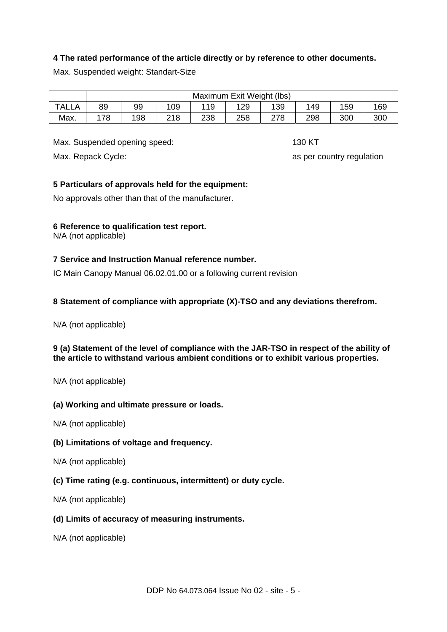# **4 The rated performance of the article directly or by reference to other documents.**

Max. Suspended weight: Standart-Size

|              | Maximum Exit Weight (lbs) |     |     |     |     |     |     |     |     |  |
|--------------|---------------------------|-----|-----|-----|-----|-----|-----|-----|-----|--|
| <b>TALLA</b> | 89                        | 99  | 109 | 119 | 129 | 139 | 149 | 159 | 169 |  |
| Max.         | 78                        | 198 | 218 | 238 | 258 | 278 | 298 | 300 | 300 |  |

Max. Suspended opening speed: 130 KT

Max. Repack Cycle: as per country regulation

# **5 Particulars of approvals held for the equipment:**

No approvals other than that of the manufacturer.

# **6 Reference to qualification test report.**

N/A (not applicable)

# **7 Service and Instruction Manual reference number.**

IC Main Canopy Manual 06.02.01.00 or a following current revision

# **8 Statement of compliance with appropriate (X)-TSO and any deviations therefrom.**

N/A (not applicable)

# **9 (a) Statement of the level of compliance with the JAR-TSO in respect of the ability of the article to withstand various ambient conditions or to exhibit various properties.**

N/A (not applicable)

# **(a) Working and ultimate pressure or loads.**

N/A (not applicable)

# **(b) Limitations of voltage and frequency.**

N/A (not applicable)

# **(c) Time rating (e.g. continuous, intermittent) or duty cycle.**

N/A (not applicable)

#### **(d) Limits of accuracy of measuring instruments.**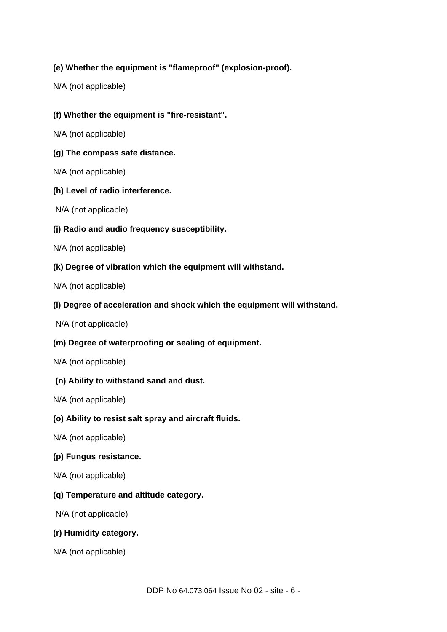# **(e) Whether the equipment is "flameproof" (explosion-proof).**

N/A (not applicable)

# **(f) Whether the equipment is "fire-resistant".**

N/A (not applicable)

# **(g) The compass safe distance.**

N/A (not applicable)

# **(h) Level of radio interference.**

N/A (not applicable)

# **(j) Radio and audio frequency susceptibility.**

N/A (not applicable)

# **(k) Degree of vibration which the equipment will withstand.**

N/A (not applicable)

# **(l) Degree of acceleration and shock which the equipment will withstand.**

N/A (not applicable)

# **(m) Degree of waterproofing or sealing of equipment.**

N/A (not applicable)

# **(n) Ability to withstand sand and dust.**

N/A (not applicable)

# **(o) Ability to resist salt spray and aircraft fluids.**

N/A (not applicable)

# **(p) Fungus resistance.**

N/A (not applicable)

# **(q) Temperature and altitude category.**

N/A (not applicable)

# **(r) Humidity category.**